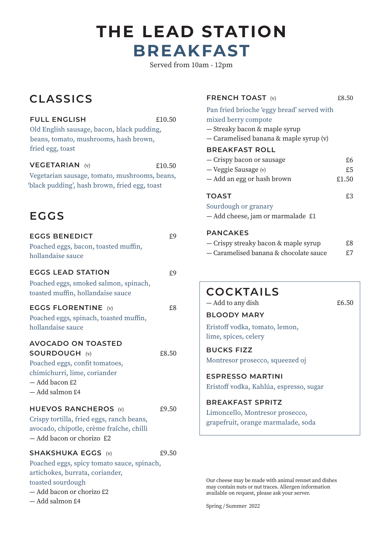# **BREAKFAST THE LEAD STATION**

Served from 10am - 12pm

## **CLASSICS**

**FULL ENGLISH** 

|          | £10.50 |
|----------|--------|
| pudding, |        |

Old English sausage, bacon, black beans, tomato, mushrooms, hash brown, fried egg, toast

**VEGETARIAN** (v)  $f10.50$ Vegetarian sausage, tomato, mushrooms, beans,

'black pudding', hash brown, fried egg, toast

## **EGGS**

| <b>EGGS BENEDICT</b>                       | £9    |
|--------------------------------------------|-------|
| Poached eggs, bacon, toasted muffin,       |       |
| hollandaise sauce                          |       |
| <b>EGGS LEAD STATION</b>                   | £9    |
| Poached eggs, smoked salmon, spinach,      |       |
| toasted muffin, hollandaise sauce          |       |
| <b>EGGS FLORENTINE</b> (v)                 | £8    |
| Poached eggs, spinach, toasted muffin,     |       |
| hollandaise sauce                          |       |
| <b>AVOCADO ON TOASTED</b>                  |       |
| <b>SOURDOUGH (v)</b>                       | £8.50 |
| Poached eggs, confit tomatoes,             |       |
| chimichurri, lime, coriander               |       |
| - Add bacon £2                             |       |
| - Add salmon £4                            |       |
| <b>HUEVOS RANCHEROS</b> (v)                | £9.50 |
| Crispy tortilla, fried eggs, ranch beans,  |       |
| avocado, chipotle, crème fraîche, chilli   |       |
| - Add bacon or chorizo £2                  |       |
| <b>SHAKSHUKA EGGS (v)</b>                  | £9.50 |
| Poached eggs, spicy tomato sauce, spinach, |       |
| artichokes, burrata, coriander,            |       |
| toasted sourdough                          |       |
| — Add bacon or chorizo £2                  |       |
| - Add salmon £4                            |       |

#### **FRENCH TOAST** (v)  $£8.50$

### Pan fried brioche 'eggy bread' served with

#### mixed berry compote

- Streaky bacon & maple syrup
- Caramelised banana & maple syrup (v)

#### **BREAKFAST ROLL**

| — Crispy bacon or sausage  | £6    |
|----------------------------|-------|
| — Veggie Sausage (v)       | £5    |
| — Add an egg or hash brown | £1.50 |

#### **TOAST** £3

#### Sourdough or granary

— Add cheese, jam or marmalade £1

#### **PANCAKES**

| - Crispy streaky bacon & maple syrup   | £8 |
|----------------------------------------|----|
| - Caramelised banana & chocolate sauce | £7 |

### **COCKTAILS**

— Add to any dish **£6.50 BLOODY MARY**

### Eristoff vodka, tomato, lemon, lime, spices, celery

**BUCKS FIZZ** Montresor prosecco, squeezed oj

**ESPRESSO MARTINI** Eristoff vodka, Kahlúa, espresso, sugar

**BREAKFAST SPRITZ** Limoncello, Montresor prosecco, grapefruit, orange marmalade, soda

Our cheese may be made with animal rennet and dishes may contain nuts or nut traces. Allergen information available on request, please ask your server.